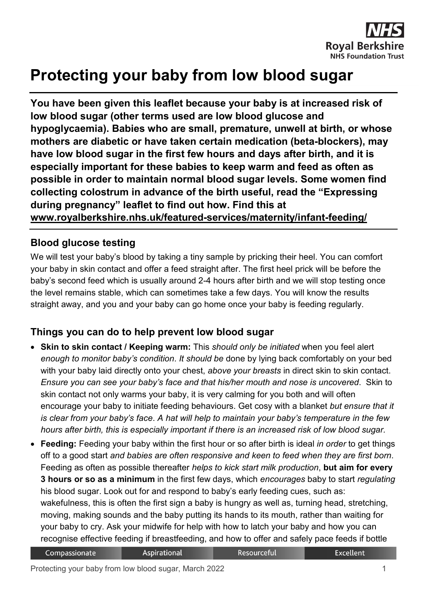

# **Protecting your baby from low blood sugar**

**You have been given this leaflet because your baby is at increased risk of low blood sugar (other terms used are low blood glucose and hypoglycaemia). Babies who are small, premature, unwell at birth, or whose mothers are diabetic or have taken certain medication (beta-blockers), may have low blood sugar in the first few hours and days after birth, and it is especially important for these babies to keep warm and feed as often as possible in order to maintain normal blood sugar levels. Some women find collecting colostrum in advance of the birth useful, read the "Expressing during pregnancy" leaflet to find out how. Find this at [www.royalberkshire.nhs.uk/featured-services/maternity/infant-feeding/](http://www.royalberkshire.nhs.uk/featured-services/maternity/infant-feeding/)**

#### **Blood glucose testing**

We will test your baby's blood by taking a tiny sample by pricking their heel. You can comfort your baby in skin contact and offer a feed straight after. The first heel prick will be before the baby's second feed which is usually around 2-4 hours after birth and we will stop testing once the level remains stable, which can sometimes take a few days. You will know the results straight away, and you and your baby can go home once your baby is feeding regularly.

## **Things you can do to help prevent low blood sugar**

- **Skin to skin contact / Keeping warm:** This *should only be initiated* when you feel alert *enough to monitor baby's condition*. *It should be* done by lying back comfortably on your bed with your baby laid directly onto your chest, *above your breasts* in direct skin to skin contact. *Ensure you can see your baby's face and that his/her mouth and nose is uncovered*. Skin to skin contact not only warms your baby, it is very calming for you both and will often encourage your baby to initiate feeding behaviours. Get cosy with a blanket *but ensure that it is clear from your baby's face*. *A hat will help to maintain your baby's temperature in the few hours after birth, this is especially important if there is an increased risk of low blood sugar.*
- **Feeding:** Feeding your baby within the first hour or so after birth is ideal *in order* to get things off to a good start *and babies are often responsive and keen to feed when they are first born*. Feeding as often as possible thereafter *helps to kick start milk production*, **but aim for every 3 hours or so as a minimum** in the first few days, which *encourages* baby to start *regulating* his blood sugar. Look out for and respond to baby's early feeding cues, such as: wakefulness, this is often the first sign a baby is hungry as well as, turning head, stretching, moving, making sounds and the baby putting its hands to its mouth, rather than waiting for your baby to cry. Ask your midwife for help with how to latch your baby and how you can recognise effective feeding if breastfeeding, and how to offer and safely pace feeds if bottle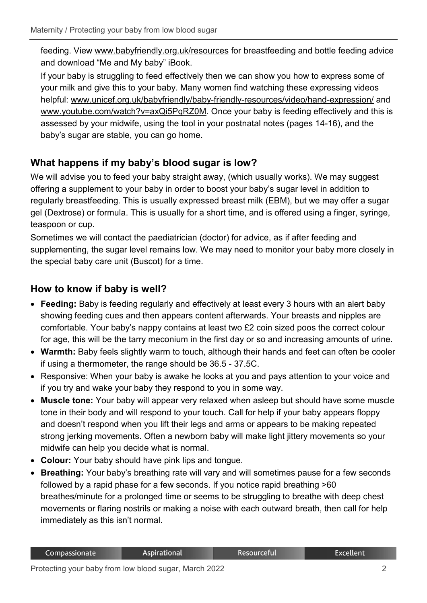feeding. View [www.babyfriendly.org.uk/resources](http://www.babyfriendly.org.uk/resources) for breastfeeding and bottle feeding advice and download "Me and My baby" iBook.

If your baby is struggling to feed effectively then we can show you how to express some of your milk and give this to your baby. Many women find watching these expressing videos helpful: [www.unicef.org.uk/babyfriendly/baby-friendly-resources/video/hand-expression/](http://www.unicef.org.uk/babyfriendly/baby-friendly-resources/video/hand-expression/) and [www.youtube.com/watch?v=axQi5PqRZ0M.](http://www.youtube.com/watch?v=axQi5PqRZ0M) Once your baby is feeding effectively and this is assessed by your midwife, using the tool in your postnatal notes (pages 14-16), and the baby's sugar are stable, you can go home.

## **What happens if my baby's blood sugar is low?**

We will advise you to feed your baby straight away, (which usually works). We may suggest offering a supplement to your baby in order to boost your baby's sugar level in addition to regularly breastfeeding. This is usually expressed breast milk (EBM), but we may offer a sugar gel (Dextrose) or formula. This is usually for a short time, and is offered using a finger, syringe, teaspoon or cup.

Sometimes we will contact the paediatrician (doctor) for advice, as if after feeding and supplementing, the sugar level remains low. We may need to monitor your baby more closely in the special baby care unit (Buscot) for a time.

#### **How to know if baby is well?**

- **Feeding:** Baby is feeding regularly and effectively at least every 3 hours with an alert baby showing feeding cues and then appears content afterwards. Your breasts and nipples are comfortable. Your baby's nappy contains at least two £2 coin sized poos the correct colour for age, this will be the tarry meconium in the first day or so and increasing amounts of urine.
- **Warmth:** Baby feels slightly warm to touch, although their hands and feet can often be cooler if using a thermometer, the range should be 36.5 - 37.5C.
- Responsive: When your baby is awake he looks at you and pays attention to your voice and if you try and wake your baby they respond to you in some way.
- **Muscle tone:** Your baby will appear very relaxed when asleep but should have some muscle tone in their body and will respond to your touch. Call for help if your baby appears floppy and doesn't respond when you lift their legs and arms or appears to be making repeated strong jerking movements. Often a newborn baby will make light jittery movements so your midwife can help you decide what is normal.
- **Colour:** Your baby should have pink lips and tongue.
- **Breathing:** Your baby's breathing rate will vary and will sometimes pause for a few seconds followed by a rapid phase for a few seconds. If you notice rapid breathing >60 breathes/minute for a prolonged time or seems to be struggling to breathe with deep chest movements or flaring nostrils or making a noise with each outward breath, then call for help immediately as this isn't normal.